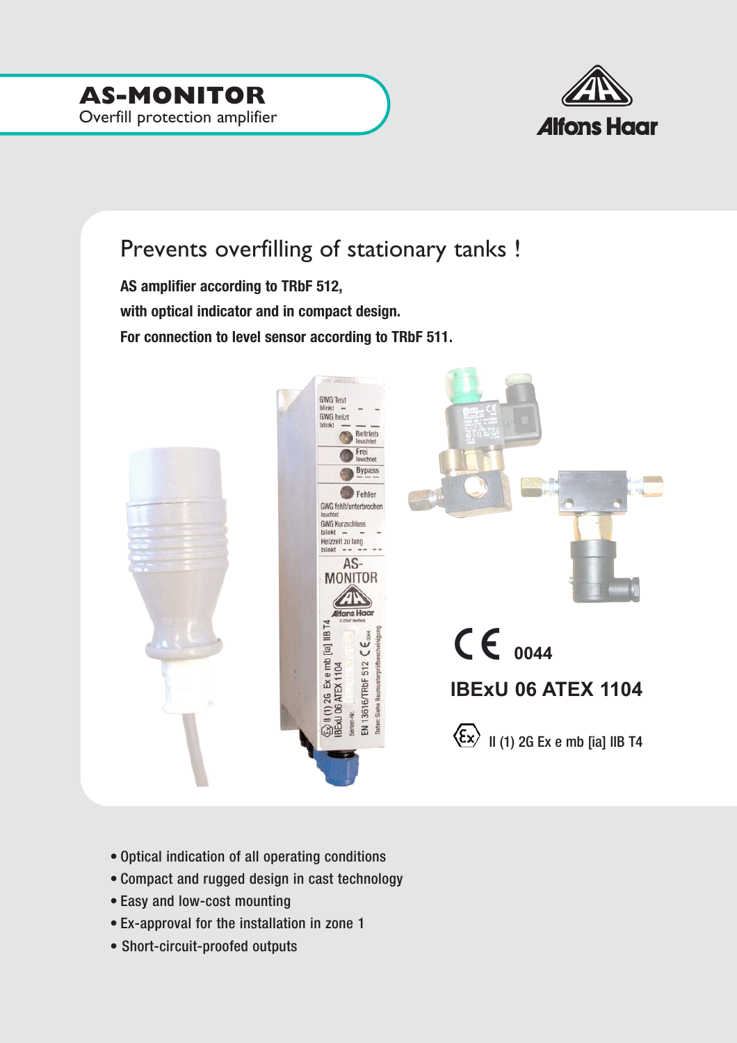

## Prevents overfilling of stationary tanks !

**AS amplifier according to TRbF 512, with optical indicator and in compact design. For connection to level sensor according to TRbF 511.**



- Optical indication of all operating conditions
- Compact and rugged design in cast technology
- Easy and low-cost mounting
- Ex-approval for the installation in zone 1
- Short-circuit-proofed outputs